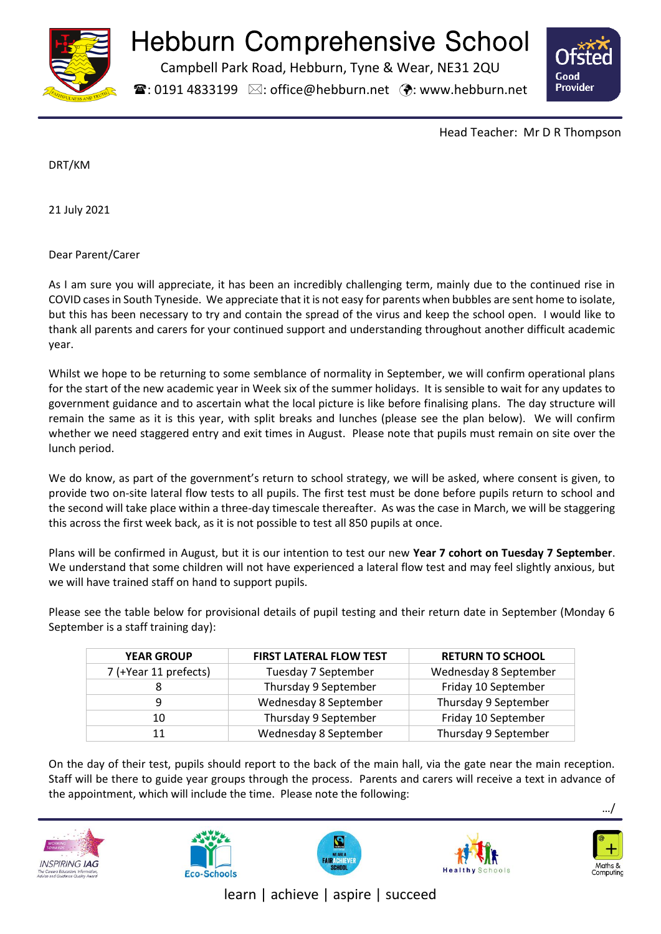

# Hebburn Comprehensive School

Campbell Park Road, Hebburn, Tyne & Wear, NE31 2QU

 $\mathbf{\widehat{a}}$ : 0191 4833199  $\boxtimes$ : office@hebburn.net  $\ddot{\mathbf{\cdot}}$ : www.hebburn.net



Head Teacher: Mr D R Thompson

DRT/KM

21 July 2021

Dear Parent/Carer

As I am sure you will appreciate, it has been an incredibly challenging term, mainly due to the continued rise in COVID cases in South Tyneside. We appreciate that it is not easy for parents when bubbles are sent home to isolate, but this has been necessary to try and contain the spread of the virus and keep the school open. I would like to thank all parents and carers for your continued support and understanding throughout another difficult academic year.

Whilst we hope to be returning to some semblance of normality in September, we will confirm operational plans for the start of the new academic year in Week six of the summer holidays. It is sensible to wait for any updates to government guidance and to ascertain what the local picture is like before finalising plans. The day structure will remain the same as it is this year, with split breaks and lunches (please see the plan below). We will confirm whether we need staggered entry and exit times in August. Please note that pupils must remain on site over the lunch period.

We do know, as part of the government's return to school strategy, we will be asked, where consent is given, to provide two on-site lateral flow tests to all pupils. The first test must be done before pupils return to school and the second will take place within a three-day timescale thereafter. As was the case in March, we will be staggering this across the first week back, as it is not possible to test all 850 pupils at once.

Plans will be confirmed in August, but it is our intention to test our new **Year 7 cohort on Tuesday 7 September**. We understand that some children will not have experienced a lateral flow test and may feel slightly anxious, but we will have trained staff on hand to support pupils.

Please see the table below for provisional details of pupil testing and their return date in September (Monday 6 September is a staff training day):

| <b>YEAR GROUP</b>     | <b>FIRST LATERAL FLOW TEST</b><br><b>RETURN TO SCHOOL</b> |                       |
|-----------------------|-----------------------------------------------------------|-----------------------|
| 7 (+Year 11 prefects) | Tuesday 7 September                                       | Wednesday 8 September |
|                       | Thursday 9 September                                      | Friday 10 September   |
|                       | Wednesday 8 September                                     | Thursday 9 September  |
| 10                    | Thursday 9 September                                      | Friday 10 September   |
| 11                    | Wednesday 8 September                                     | Thursday 9 September  |

On the day of their test, pupils should report to the back of the main hall, via the gate near the main reception. Staff will be there to guide year groups through the process. Parents and carers will receive a text in advance of the appointment, which will include the time. Please note the following:











…/

learn | achieve | aspire | succeed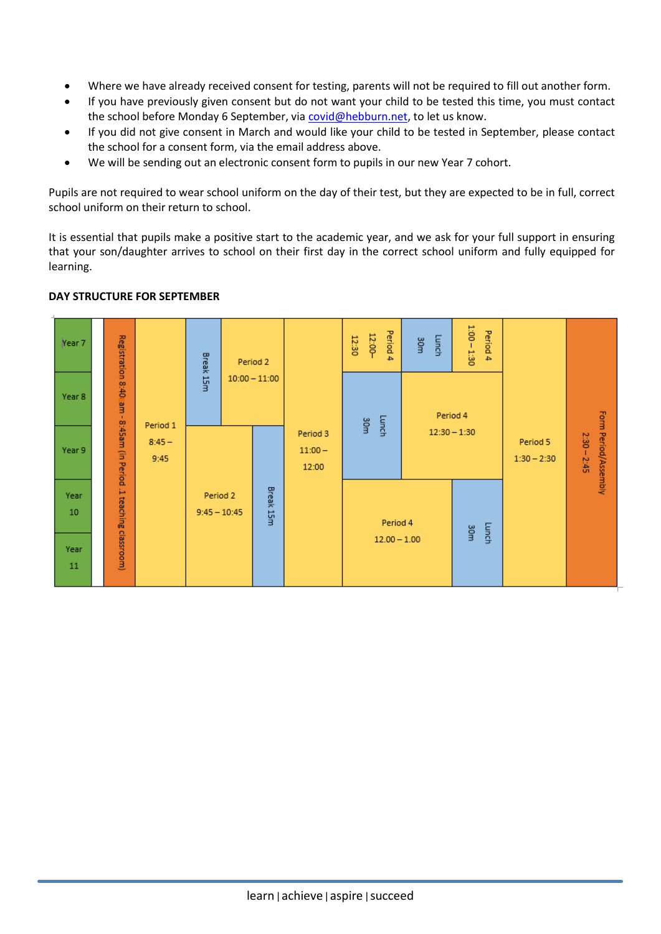- Where we have already received consent for testing, parents will not be required to fill out another form.
- If you have previously given consent but do not want your child to be tested this time, you must contact the school before Monday 6 September, via [covid@hebburn.net,](mailto:covid@hebburn.net) to let us know.
- If you did not give consent in March and would like your child to be tested in September, please contact the school for a consent form, via the email address above.
- We will be sending out an electronic consent form to pupils in our new Year 7 cohort.

Pupils are not required to wear school uniform on the day of their test, but they are expected to be in full, correct school uniform on their return to school.

It is essential that pupils make a positive start to the academic year, and we ask for your full support in ensuring that your son/daughter arrives to school on their first day in the correct school uniform and fully equipped for learning.



# **DAY STRUCTURE FOR SEPTEMBER**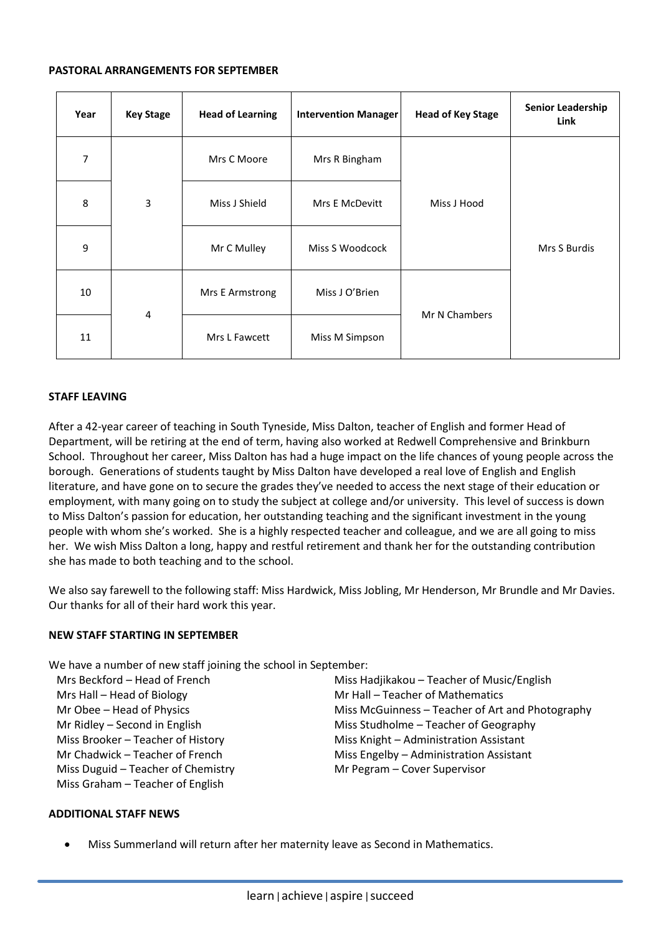#### **PASTORAL ARRANGEMENTS FOR SEPTEMBER**

| Year | <b>Key Stage</b> | <b>Head of Learning</b> | <b>Intervention Manager</b> | <b>Head of Key Stage</b> | <b>Senior Leadership</b><br>Link |
|------|------------------|-------------------------|-----------------------------|--------------------------|----------------------------------|
| 7    | 3                | Mrs C Moore             | Mrs R Bingham               | Miss J Hood              | Mrs S Burdis                     |
| 8    |                  | Miss J Shield           | Mrs E McDevitt              |                          |                                  |
| 9    |                  | Mr C Mulley             | Miss S Woodcock             |                          |                                  |
| 10   | 4                | Mrs E Armstrong         | Miss J O'Brien              | Mr N Chambers            |                                  |
| 11   |                  | Mrs L Fawcett           | Miss M Simpson              |                          |                                  |

# **STAFF LEAVING**

After a 42-year career of teaching in South Tyneside, Miss Dalton, teacher of English and former Head of Department, will be retiring at the end of term, having also worked at Redwell Comprehensive and Brinkburn School. Throughout her career, Miss Dalton has had a huge impact on the life chances of young people across the borough. Generations of students taught by Miss Dalton have developed a real love of English and English literature, and have gone on to secure the grades they've needed to access the next stage of their education or employment, with many going on to study the subject at college and/or university. This level of success is down to Miss Dalton's passion for education, her outstanding teaching and the significant investment in the young people with whom she's worked. She is a highly respected teacher and colleague, and we are all going to miss her. We wish Miss Dalton a long, happy and restful retirement and thank her for the outstanding contribution she has made to both teaching and to the school.

We also say farewell to the following staff: Miss Hardwick, Miss Jobling, Mr Henderson, Mr Brundle and Mr Davies. Our thanks for all of their hard work this year.

## **NEW STAFF STARTING IN SEPTEMBER**

We have a number of new staff joining the school in September:

Mrs Beckford – Head of French Mrs Hall – Head of Biology Mr Obee – Head of Physics Mr Ridley – Second in English Miss Brooker – Teacher of History Mr Chadwick – Teacher of French Miss Duguid – Teacher of Chemistry Miss Graham – Teacher of English

Miss Hadjikakou – Teacher of Music/English Mr Hall – Teacher of Mathematics Miss McGuinness – Teacher of Art and Photography Miss Studholme – Teacher of Geography Miss Knight – Administration Assistant Miss Engelby – Administration Assistant Mr Pegram – Cover Supervisor

## **ADDITIONAL STAFF NEWS**

• Miss Summerland will return after her maternity leave as Second in Mathematics.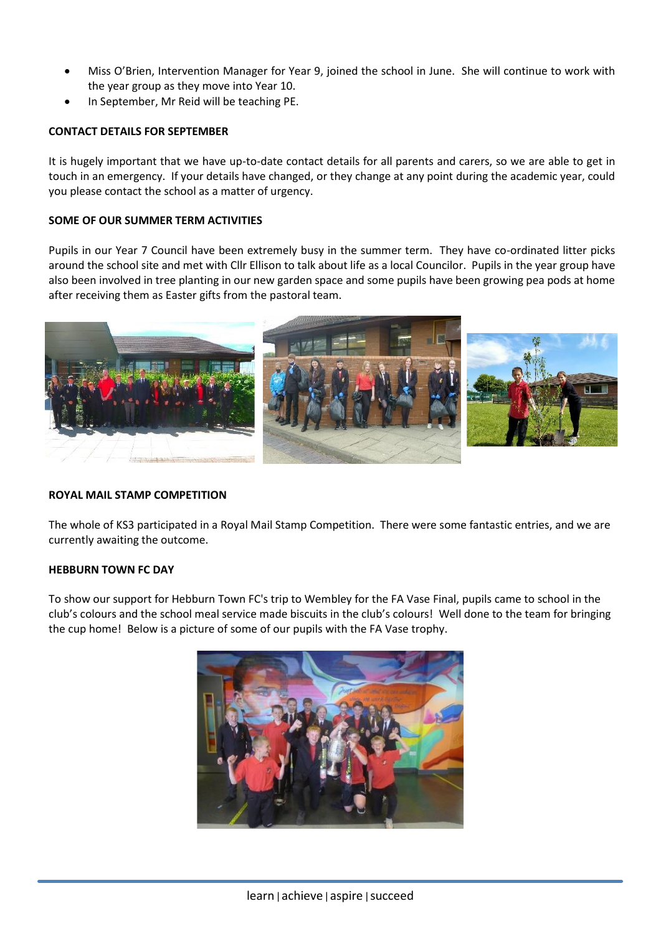- Miss O'Brien, Intervention Manager for Year 9, joined the school in June. She will continue to work with the year group as they move into Year 10.
- In September, Mr Reid will be teaching PE.

## **CONTACT DETAILS FOR SEPTEMBER**

It is hugely important that we have up-to-date contact details for all parents and carers, so we are able to get in touch in an emergency. If your details have changed, or they change at any point during the academic year, could you please contact the school as a matter of urgency.

## **SOME OF OUR SUMMER TERM ACTIVITIES**

Pupils in our Year 7 Council have been extremely busy in the summer term. They have co-ordinated litter picks around the school site and met with Cllr Ellison to talk about life as a local Councilor. Pupils in the year group have also been involved in tree planting in our new garden space and some pupils have been growing pea pods at home after receiving them as Easter gifts from the pastoral team.



## **ROYAL MAIL STAMP COMPETITION**

The whole of KS3 participated in a Royal Mail Stamp Competition. There were some fantastic entries, and we are currently awaiting the outcome.

## **HEBBURN TOWN FC DAY**

To show our support for Hebburn Town FC's trip to Wembley for the FA Vase Final, pupils came to school in the club's colours and the school meal service made biscuits in the club's colours! Well done to the team for bringing the cup home! Below is a picture of some of our pupils with the FA Vase trophy.

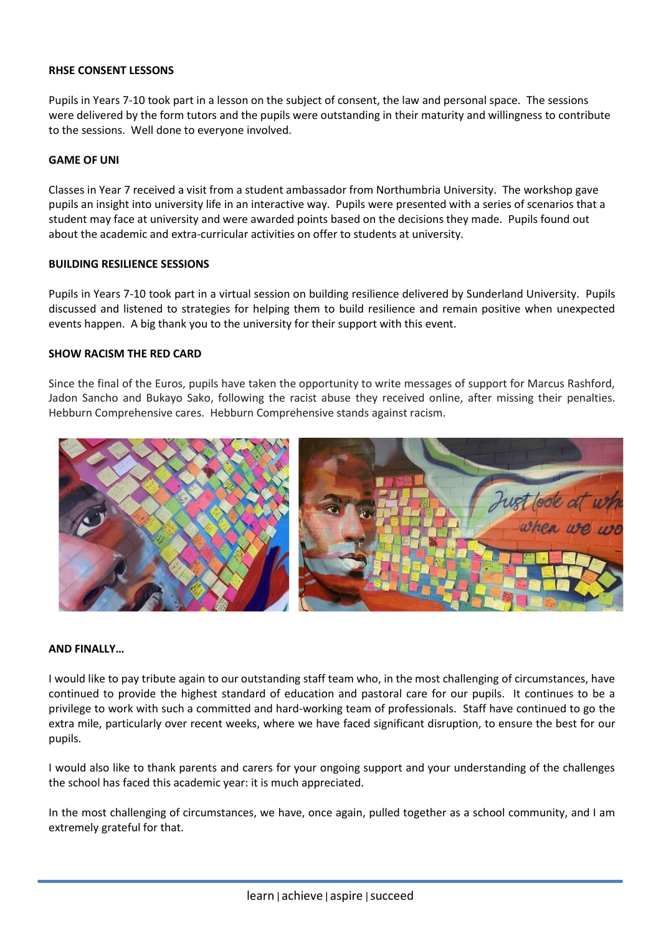## **RHSE CONSENT LESSONS**

Pupils in Years 7-10 took part in a lesson on the subject of consent, the law and personal space. The sessions were delivered by the form tutors and the pupils were outstanding in their maturity and willingness to contribute to the sessions. Well done to everyone involved.

## **GAME OF UNI**

Classes in Year 7 received a visit from a student ambassador from Northumbria University. The workshop gave pupils an insight into university life in an interactive way. Pupils were presented with a series of scenarios that a student may face at university and were awarded points based on the decisions they made. Pupils found out about the academic and extra-curricular activities on offer to students at university.

#### **BUILDING RESILIENCE SESSIONS**

Pupils in Years 7-10 took part in a virtual session on building resilience delivered by Sunderland University. Pupils discussed and listened to strategies for helping them to build resilience and remain positive when unexpected events happen. A big thank you to the university for their support with this event.

## **SHOW RACISM THE RED CARD**

Since the final of the Euros, pupils have taken the opportunity to write messages of support for Marcus Rashford, Jadon Sancho and Bukayo Sako, following the racist abuse they received online, after missing their penalties. Hebburn Comprehensive cares. Hebburn Comprehensive stands against racism.



#### **AND FINALLY…**

I would like to pay tribute again to our outstanding staff team who, in the most challenging of circumstances, have continued to provide the highest standard of education and pastoral care for our pupils. It continues to be a privilege to work with such a committed and hard-working team of professionals. Staff have continued to go the extra mile, particularly over recent weeks, where we have faced significant disruption, to ensure the best for our pupils.

I would also like to thank parents and carers for your ongoing support and your understanding of the challenges the school has faced this academic year: it is much appreciated.

In the most challenging of circumstances, we have, once again, pulled together as a school community, and I am extremely grateful for that.